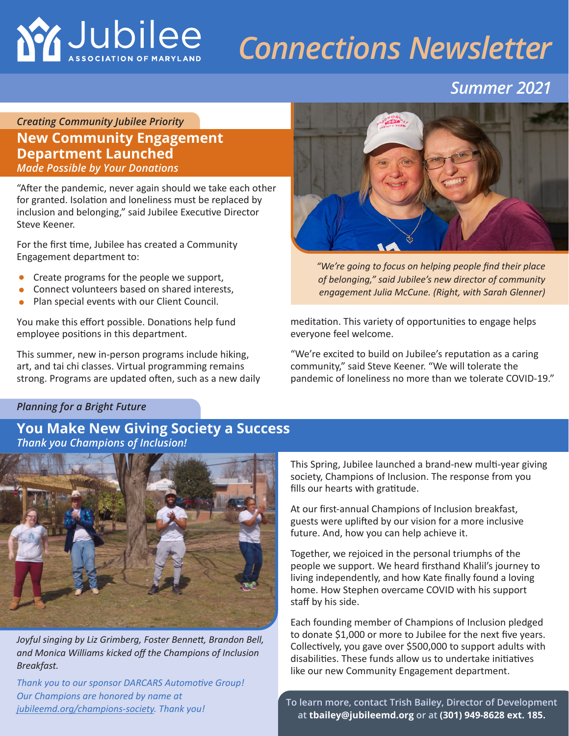

# *Connections Newsletter*

# *Summer 2021*

## *Creating Community Jubilee Priority*  **New Community Engagement Department Launched** *Made Possible by Your Donations*

"After the pandemic, never again should we take each other for granted. Isolation and loneliness must be replaced by inclusion and belonging," said Jubilee Executive Director Steve Keener.

For the first time, Jubilee has created a Community Engagement department to:

- Create programs for the people we support,
- Connect volunteers based on shared interests,
- Plan special events with our Client Council.

You make this effort possible. Donations help fund employee positions in this department.

This summer, new in-person programs include hiking, art, and tai chi classes. Virtual programming remains strong. Programs are updated often, such as a new daily



*"We're going to focus on helping people find their place of belonging," said Jubilee's new director of community engagement Julia McCune. (Right, with Sarah Glenner)*

meditation. This variety of opportunities to engage helps everyone feel welcome.

"We're excited to build on Jubilee's reputation as a caring community," said Steve Keener. "We will tolerate the pandemic of loneliness no more than we tolerate COVID-19."

#### *Planning for a Bright Future*

## **You Make New Giving Society a Success**  *Thank you Champions of Inclusion!*



*Joyful singing by Liz Grimberg, Foster Bennett, Brandon Bell, and Monica Williams kicked off the Champions of Inclusion Breakfast.*

*Thank you to our sponsor DARCARS Automotive Group! Our Champions are honored by name at jubileemd.org/champions-society. Thank you!*

This Spring, Jubilee launched a brand-new multi-year giving society, Champions of Inclusion. The response from you fills our hearts with gratitude.

At our first-annual Champions of Inclusion breakfast, guests were uplifted by our vision for a more inclusive future. And, how you can help achieve it.

Together, we rejoiced in the personal triumphs of the people we support. We heard firsthand Khalil's journey to living independently, and how Kate finally found a loving home. How Stephen overcame COVID with his support staff by his side.

Each founding member of Champions of Inclusion pledged to donate \$1,000 or more to Jubilee for the next five years. Collectively, you gave over \$500,000 to support adults with disabilities. These funds allow us to undertake initiatives like our new Community Engagement department.

**To learn more, contact Trish Bailey, Director of Development at tbailey@jubileemd.org or at (301) 949-8628 ext. 185.**